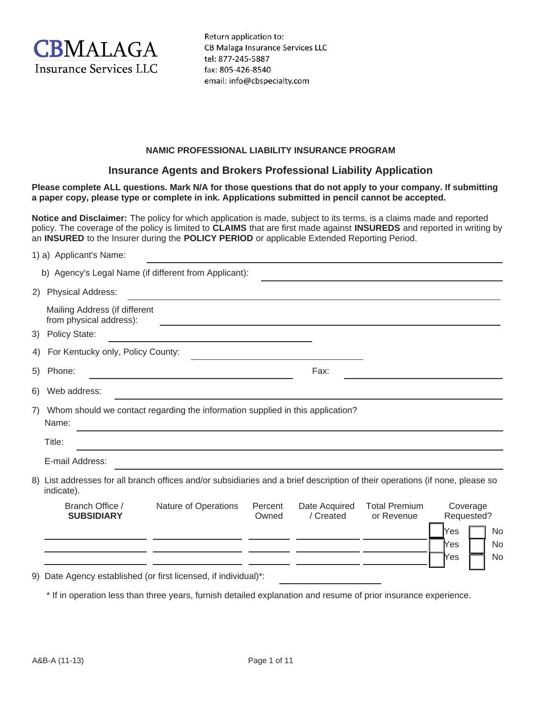

Return application to: CB Malaga Insurance Services LLC tel: 877-245-5887 fax: 805-426-8540 email: info@cbspecialty.com

### **NAMIC PROFESSIONAL LIABILITY INSURANCE PROGRAM**

### **Insurance Agents and Brokers Professional Liability Application**

**Please complete ALL questions. Mark N/A for those questions that do not apply to your company. If submitting a paper copy, please type or complete in ink. Applications submitted in pencil cannot be accepted.**

**Notice and Disclaimer:** The policy for which application is made, subject to its terms, is a claims made and reported policy. The coverage of the policy is limited to **CLAIMS** that are first made against **INSUREDS** and reported in writing by an **INSURED** to the Insurer during the **POLICY PERIOD** or applicable Extended Reporting Period.

|                                                                                               | 1) a) Applicant's Name:                                                                                                                    |                      |                  |                            |                                    |                                                                             |
|-----------------------------------------------------------------------------------------------|--------------------------------------------------------------------------------------------------------------------------------------------|----------------------|------------------|----------------------------|------------------------------------|-----------------------------------------------------------------------------|
|                                                                                               | b) Agency's Legal Name (if different from Applicant):                                                                                      |                      |                  |                            |                                    |                                                                             |
|                                                                                               | 2) Physical Address:                                                                                                                       |                      |                  |                            |                                    |                                                                             |
|                                                                                               | Mailing Address (if different<br>from physical address):                                                                                   |                      |                  |                            |                                    |                                                                             |
| 3)                                                                                            | <b>Policy State:</b>                                                                                                                       |                      |                  |                            |                                    |                                                                             |
| 4)                                                                                            | For Kentucky only, Policy County:                                                                                                          |                      |                  |                            |                                    |                                                                             |
| 5)                                                                                            | Phone:                                                                                                                                     |                      |                  | Fax:                       |                                    |                                                                             |
| 6)                                                                                            | Web address:                                                                                                                               |                      |                  |                            |                                    |                                                                             |
| Whom should we contact regarding the information supplied in this application?<br>7)<br>Name: |                                                                                                                                            |                      |                  |                            |                                    |                                                                             |
|                                                                                               | Title:                                                                                                                                     |                      |                  |                            |                                    |                                                                             |
|                                                                                               | E-mail Address:                                                                                                                            |                      |                  |                            |                                    |                                                                             |
|                                                                                               | 8) List addresses for all branch offices and/or subsidiaries and a brief description of their operations (if none, please so<br>indicate). |                      |                  |                            |                                    |                                                                             |
|                                                                                               | Branch Office /<br><b>SUBSIDIARY</b>                                                                                                       | Nature of Operations | Percent<br>Owned | Date Acquired<br>/ Created | <b>Total Premium</b><br>or Revenue | Coverage<br>Requested?<br>Yes<br>No<br><b>No</b><br>Ƙes<br><b>No</b><br>Yes |
|                                                                                               |                                                                                                                                            |                      |                  |                            |                                    |                                                                             |

9) Date Agency established (or first licensed, if individual)\*:

\* If in operation less than three years, furnish detailed explanation and resume of prior insurance experience.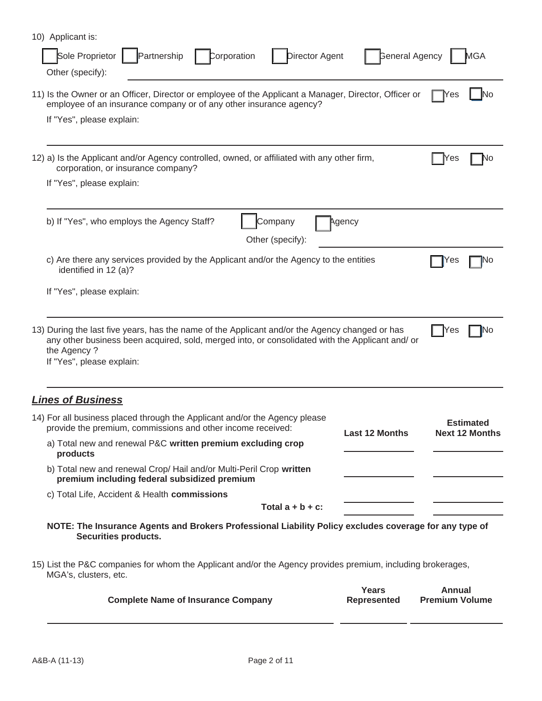| 10) Applicant is:<br>Sole Proprietor<br><b>General Agency</b><br>Partnership<br>Corporation<br>Director Agent<br>Other (specify):                                                                                                             | MGA                                       |
|-----------------------------------------------------------------------------------------------------------------------------------------------------------------------------------------------------------------------------------------------|-------------------------------------------|
| 11) Is the Owner or an Officer, Director or employee of the Applicant a Manager, Director, Officer or<br>employee of an insurance company or of any other insurance agency?<br>If "Yes", please explain:                                      | <b>T</b> Yes<br>No                        |
| 12) a) Is the Applicant and/or Agency controlled, owned, or affiliated with any other firm,<br>corporation, or insurance company?<br>If "Yes", please explain:                                                                                | Yes<br>Νo                                 |
| b) If "Yes", who employs the Agency Staff?<br>Company<br>Agency<br>Other (specify):                                                                                                                                                           |                                           |
| c) Are there any services provided by the Applicant and/or the Agency to the entities<br>identified in 12 (a)?                                                                                                                                | Yes<br>No                                 |
| If "Yes", please explain:                                                                                                                                                                                                                     |                                           |
| 13) During the last five years, has the name of the Applicant and/or the Agency changed or has<br>any other business been acquired, sold, merged into, or consolidated with the Applicant and/ or<br>the Agency?<br>If "Yes", please explain: | Yes<br>No                                 |
| <b>Lines of Business</b>                                                                                                                                                                                                                      |                                           |
| 14) For all business placed through the Applicant and/or the Agency please<br>provide the premium, commissions and other income received:<br><b>Last 12 Months</b><br>a) Total new and renewal P&C written premium excluding crop<br>products | <b>Estimated</b><br><b>Next 12 Months</b> |
| b) Total new and renewal Crop/ Hail and/or Multi-Peril Crop written<br>premium including federal subsidized premium                                                                                                                           |                                           |
| c) Total Life, Accident & Health commissions<br>Total $a + b + c$ :                                                                                                                                                                           |                                           |
| NOTE: The Insurance Agents and Brokers Professional Liability Policy excludes coverage for any type of<br>Securities products.                                                                                                                |                                           |
| 15) List the P&C companies for whom the Applicant and/or the Agency provides premium, including brokerages,<br>MGA's, clusters, etc.                                                                                                          |                                           |
| Years<br><b>Complete Name of Insurance Company</b><br><b>Represented</b>                                                                                                                                                                      | <b>Annual</b><br><b>Premium Volume</b>    |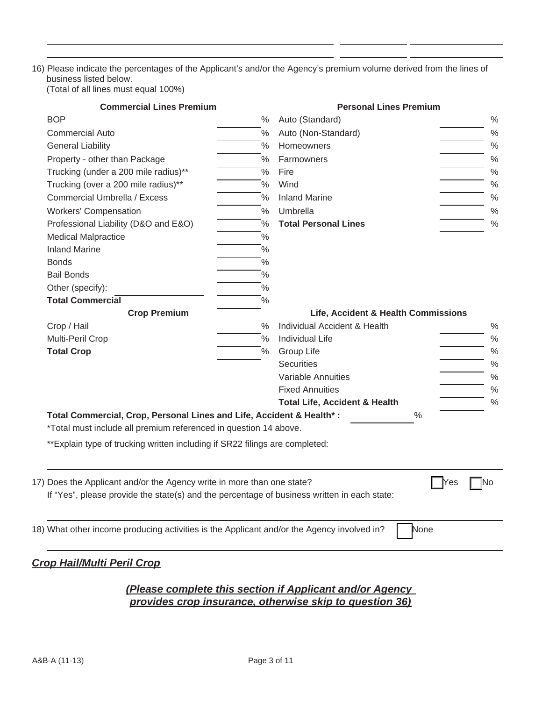# 16) Please indicate the percentages of the Applicant's and/or the Agency's premium volume derived from the lines of business listed below.

(Total of all lines must equal 100%)

| <b>Commercial Lines Premium</b>                                                             |                      | <b>Personal Lines Premium</b>                                    |                                     |  |  |
|---------------------------------------------------------------------------------------------|----------------------|------------------------------------------------------------------|-------------------------------------|--|--|
| <b>BOP</b>                                                                                  | $\%$                 | Auto (Standard)                                                  | $\%$                                |  |  |
| <b>Commercial Auto</b>                                                                      | $\frac{0}{0}$        | Auto (Non-Standard)                                              | $\%$                                |  |  |
| <b>General Liability</b>                                                                    | $\frac{0}{0}$        | Homeowners                                                       | $\%$                                |  |  |
| Property - other than Package                                                               | $\frac{0}{0}$        | Farmowners                                                       | $\%$                                |  |  |
| Trucking (under a 200 mile radius)**                                                        | $\frac{1}{\sqrt{2}}$ | Fire                                                             | $\%$                                |  |  |
| Trucking (over a 200 mile radius)**                                                         | $\frac{1}{2}$        | Wind                                                             | $\%$                                |  |  |
| Commercial Umbrella / Excess                                                                | $\frac{1}{2}$        | <b>Inland Marine</b>                                             | $\%$                                |  |  |
| <b>Workers' Compensation</b>                                                                | $\%$                 | Umbrella                                                         | $\%$                                |  |  |
| Professional Liability (D&O and E&O)                                                        | $\frac{0}{0}$        | <b>Total Personal Lines</b>                                      | $\%$                                |  |  |
| <b>Medical Malpractice</b>                                                                  | $\frac{1}{2}$        |                                                                  |                                     |  |  |
| <b>Inland Marine</b>                                                                        | $\%$                 |                                                                  |                                     |  |  |
| <b>Bonds</b>                                                                                | $\frac{1}{2}$        |                                                                  |                                     |  |  |
| <b>Bail Bonds</b>                                                                           | $\%$                 |                                                                  |                                     |  |  |
| Other (specify):                                                                            | $\%$                 |                                                                  |                                     |  |  |
| <b>Total Commercial</b>                                                                     | $\frac{1}{2}$        |                                                                  |                                     |  |  |
| <b>Crop Premium</b>                                                                         |                      |                                                                  | Life, Accident & Health Commissions |  |  |
| Crop / Hail                                                                                 | $\%$                 | Individual Accident & Health                                     | $\%$                                |  |  |
| Multi-Peril Crop                                                                            | $\frac{1}{2}$        | <b>Individual Life</b>                                           | $\%$                                |  |  |
| <b>Total Crop</b>                                                                           | $\%$                 | Group Life                                                       | $\%$                                |  |  |
|                                                                                             |                      | <b>Securities</b>                                                | $\%$                                |  |  |
|                                                                                             |                      | <b>Variable Annuities</b>                                        | $\%$                                |  |  |
|                                                                                             |                      | <b>Fixed Annuities</b>                                           | $\%$                                |  |  |
|                                                                                             |                      | <b>Total Life, Accident &amp; Health</b>                         | $\%$                                |  |  |
| Total Commercial, Crop, Personal Lines and Life, Accident & Health*:                        |                      | %                                                                |                                     |  |  |
| *Total must include all premium referenced in question 14 above.                            |                      |                                                                  |                                     |  |  |
| ** Explain type of trucking written including if SR22 filings are completed:                |                      |                                                                  |                                     |  |  |
|                                                                                             |                      |                                                                  |                                     |  |  |
|                                                                                             |                      |                                                                  |                                     |  |  |
| 17) Does the Applicant and/or the Agency write in more than one state?                      |                      |                                                                  | Yes<br><b>No</b>                    |  |  |
| If "Yes", please provide the state(s) and the percentage of business written in each state: |                      |                                                                  |                                     |  |  |
|                                                                                             |                      |                                                                  |                                     |  |  |
|                                                                                             |                      |                                                                  |                                     |  |  |
| 18) What other income producing activities is the Applicant and/or the Agency involved in?  |                      | None                                                             |                                     |  |  |
|                                                                                             |                      |                                                                  |                                     |  |  |
| <b>Crop Hail/Multi Peril Crop</b>                                                           |                      |                                                                  |                                     |  |  |
|                                                                                             |                      |                                                                  |                                     |  |  |
|                                                                                             |                      | <u>(Please complete this section if Applicant and/or Agency_</u> |                                     |  |  |
|                                                                                             |                      | provides crop insurance, otherwise skip to question 36)          |                                     |  |  |
|                                                                                             |                      |                                                                  |                                     |  |  |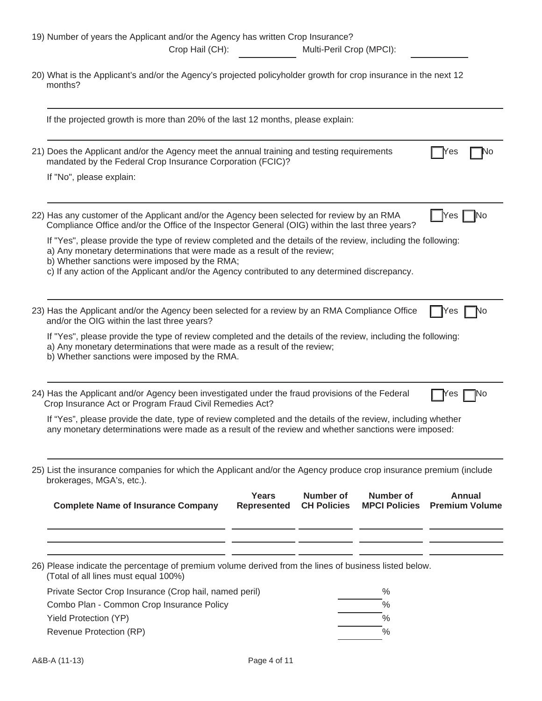| 19) Number of years the Applicant and/or the Agency has written Crop Insurance?<br>Crop Hail (CH):<br>Multi-Peril Crop (MPCI):                                                                                                                                                                                                                                                                           |  |  |  |  |  |
|----------------------------------------------------------------------------------------------------------------------------------------------------------------------------------------------------------------------------------------------------------------------------------------------------------------------------------------------------------------------------------------------------------|--|--|--|--|--|
| 20) What is the Applicant's and/or the Agency's projected policyholder growth for crop insurance in the next 12<br>months?                                                                                                                                                                                                                                                                               |  |  |  |  |  |
| If the projected growth is more than 20% of the last 12 months, please explain:                                                                                                                                                                                                                                                                                                                          |  |  |  |  |  |
| 21) Does the Applicant and/or the Agency meet the annual training and testing requirements<br>res<br>٩O<br>mandated by the Federal Crop Insurance Corporation (FCIC)?<br>If "No", please explain:                                                                                                                                                                                                        |  |  |  |  |  |
| 22) Has any customer of the Applicant and/or the Agency been selected for review by an RMA<br>Yes<br>INo<br>Compliance Office and/or the Office of the Inspector General (OIG) within the last three years?                                                                                                                                                                                              |  |  |  |  |  |
| If "Yes", please provide the type of review completed and the details of the review, including the following:<br>a) Any monetary determinations that were made as a result of the review;<br>b) Whether sanctions were imposed by the RMA;<br>c) If any action of the Applicant and/or the Agency contributed to any determined discrepancy.                                                             |  |  |  |  |  |
| 23) Has the Applicant and/or the Agency been selected for a review by an RMA Compliance Office<br>Yes<br>٧о<br>and/or the OIG within the last three years?<br>If "Yes", please provide the type of review completed and the details of the review, including the following:<br>a) Any monetary determinations that were made as a result of the review;<br>b) Whether sanctions were imposed by the RMA. |  |  |  |  |  |
| 24) Has the Applicant and/or Agency been investigated under the fraud provisions of the Federal<br><b>Nes</b><br>INO<br>Crop Insurance Act or Program Fraud Civil Remedies Act?<br>If "Yes", please provide the date, type of review completed and the details of the review, including whether<br>any monetary determinations were made as a result of the review and whether sanctions were imposed:   |  |  |  |  |  |
| 25) List the insurance companies for which the Applicant and/or the Agency produce crop insurance premium (include<br>brokerages, MGA's, etc.).                                                                                                                                                                                                                                                          |  |  |  |  |  |
| <b>Years</b><br>Number of<br>Number of<br><b>Annual</b><br><b>Complete Name of Insurance Company</b><br><b>MPCI Policies</b><br><b>Premium Volume</b><br>Represented<br><b>CH Policies</b>                                                                                                                                                                                                               |  |  |  |  |  |
| 26) Please indicate the percentage of premium volume derived from the lines of business listed below.<br>(Total of all lines must equal 100%)                                                                                                                                                                                                                                                            |  |  |  |  |  |
| Private Sector Crop Insurance (Crop hail, named peril)<br>$\%$                                                                                                                                                                                                                                                                                                                                           |  |  |  |  |  |
| $\frac{0}{0}$<br>Combo Plan - Common Crop Insurance Policy                                                                                                                                                                                                                                                                                                                                               |  |  |  |  |  |
| $\%$<br>Yield Protection (YP)                                                                                                                                                                                                                                                                                                                                                                            |  |  |  |  |  |
| Revenue Protection (RP)<br>$\%$                                                                                                                                                                                                                                                                                                                                                                          |  |  |  |  |  |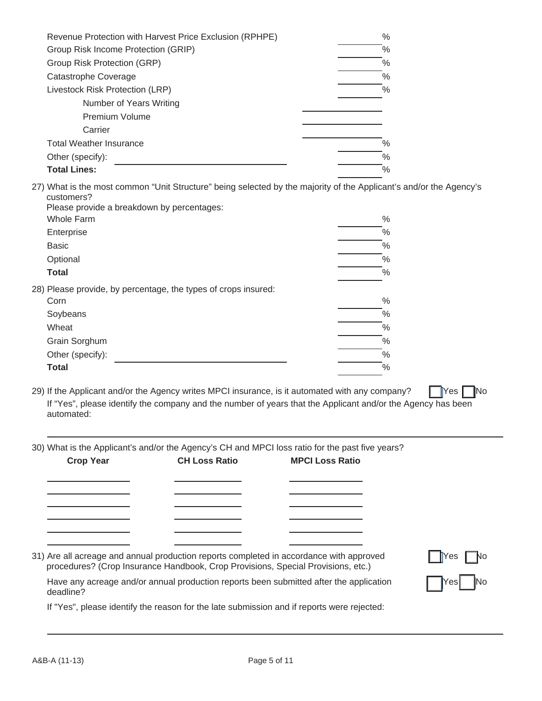| Revenue Protection with Harvest Price Exclusion (RPHPE) | $\%$ |
|---------------------------------------------------------|------|
| Group Risk Income Protection (GRIP)                     | %    |
| Group Risk Protection (GRP)                             | $\%$ |
| Catastrophe Coverage                                    | $\%$ |
| Livestock Risk Protection (LRP)                         | $\%$ |
| Number of Years Writing                                 |      |
| <b>Premium Volume</b>                                   |      |
| Carrier                                                 |      |
| <b>Total Weather Insurance</b>                          | $\%$ |
| Other (specify):                                        | $\%$ |
| <b>Total Lines:</b>                                     | $\%$ |
|                                                         |      |

27) What is the most common "Unit Structure" being selected by the majority of the Applicant's and/or the Agency's customers? Please provide a breakdown by percentages:

|                   | <b>I</b> idade provide a bicandown by percentages.             |               |
|-------------------|----------------------------------------------------------------|---------------|
| <b>Whole Farm</b> |                                                                | $\frac{0}{0}$ |
| Enterprise        |                                                                | $\%$          |
| <b>Basic</b>      |                                                                | $\%$          |
| Optional          |                                                                | $\%$          |
| <b>Total</b>      |                                                                | %             |
|                   | 28) Please provide, by percentage, the types of crops insured: |               |
| Corn              |                                                                | $\frac{0}{0}$ |
| Soybeans          |                                                                | $\%$          |
| Wheat             |                                                                | $\%$          |
| Grain Sorghum     |                                                                | $\%$          |
| Other (specify):  |                                                                | %             |
| <b>Total</b>      |                                                                | %             |
|                   |                                                                |               |

29) If the Applicant and/or the Agency writes MPCI insurance, is it automated with any company?  $\Box$  Yes  $\Box$  No If "Yes", please identify the company and the number of years that the Applicant and/or the Agency has been automated:

30) What is the Applicant's and/or the Agency's CH and MPCI loss ratio for the past five years?

| <b>Crop Year</b> | <b>CH Loss Ratio</b>                                                                                                                                                        | <b>MPCI Loss Ratio</b> |                                      |
|------------------|-----------------------------------------------------------------------------------------------------------------------------------------------------------------------------|------------------------|--------------------------------------|
|                  |                                                                                                                                                                             |                        |                                      |
|                  |                                                                                                                                                                             |                        |                                      |
|                  |                                                                                                                                                                             |                        |                                      |
|                  |                                                                                                                                                                             |                        |                                      |
|                  | 31) Are all acreage and annual production reports completed in accordance with approved<br>procedures? (Crop Insurance Handbook, Crop Provisions, Special Provisions, etc.) |                        | $\blacksquare$ Yes $\blacksquare$ No |
| deadline?        | Have any acreage and/or annual production reports been submitted after the application                                                                                      |                        | Yesl                                 |

If "Yes", please identify the reason for the late submission and if reports were rejected: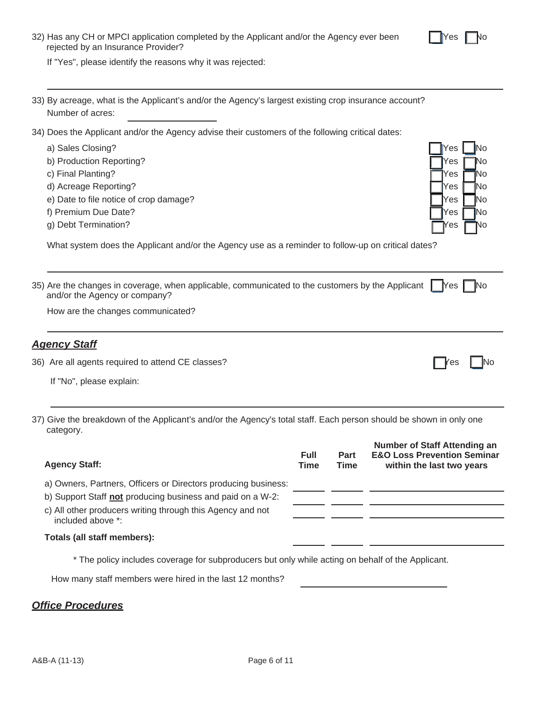If "Yes", please identify the reasons why it was rejected:

- 33) By acreage, what is the Applicant's and/or the Agency's largest existing crop insurance account? Number of acres:
- 34) Does the Applicant and/or the Agency advise their customers of the following critical dates:
	- a) Sales Closing?
	- b) Production Reporting?
	- c) Final Planting?
	- d) Acreage Reporting?
	- e) Date to file notice of crop damage?
	- f) Premium Due Date?
	- g) Debt Termination?

What system does the Applicant and/or the Agency use as a reminder to follow-up on critical dates?

| 35) Are the changes in coverage, when applicable, communicated to the customers by the Applicant $\Box$ Yes $\Box$ No |  |
|-----------------------------------------------------------------------------------------------------------------------|--|
| and/or the Agency or company?                                                                                         |  |

How are the changes communicated?

## *Agency Staff*

36) Are all agents required to attend CE classes? The example of the example of the example of the example of the example of the example of the example of the example of the example of the example of the example of the exa

If "No", please explain:

37) Give the breakdown of the Applicant's and/or the Agency's total staff. Each person should be shown in only one category.

| <b>Agency Staff:</b>                                                            | Full<br><b>Time</b> | Part<br><b>Time</b> | Number of Staff Attending an<br><b>E&amp;O Loss Prevention Seminar</b><br>within the last two years |
|---------------------------------------------------------------------------------|---------------------|---------------------|-----------------------------------------------------------------------------------------------------|
| a) Owners, Partners, Officers or Directors producing business:                  |                     |                     |                                                                                                     |
| b) Support Staff not producing business and paid on a W-2:                      |                     |                     |                                                                                                     |
| c) All other producers writing through this Agency and not<br>included above *: |                     |                     |                                                                                                     |
| Totals (all staff members):                                                     |                     |                     |                                                                                                     |

\* The policy includes coverage for subproducers but only while acting on behalf of the Applicant.

How many staff members were hired in the last 12 months?

# *Office Procedures*

| <b>Yes</b> | No      |
|------------|---------|
| Yes        | No      |
| Yes        | .<br>No |
| Yes        | No      |
| Yes        | No      |
| Yes        | Nc      |
| Yes        | No      |

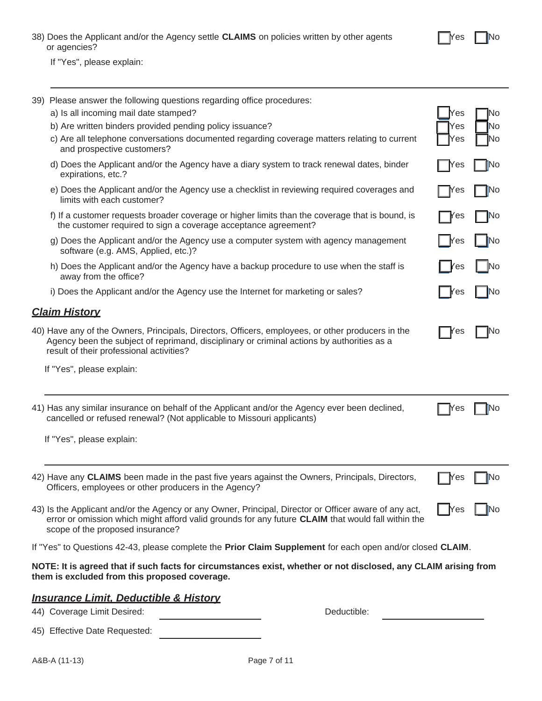| 38) Does the Applicant and/or the Agency settle <b>CLAIMS</b> on policies written by other agents |  |  |  |
|---------------------------------------------------------------------------------------------------|--|--|--|
| or agencies?                                                                                      |  |  |  |

If "Yes", please explain:

| 39) Please answer the following questions regarding office procedures:                                                                                                                                                                          |             |               |  |  |  |
|-------------------------------------------------------------------------------------------------------------------------------------------------------------------------------------------------------------------------------------------------|-------------|---------------|--|--|--|
| a) Is all incoming mail date stamped?                                                                                                                                                                                                           | Yes         | N٥            |  |  |  |
| b) Are written binders provided pending policy issuance?                                                                                                                                                                                        | Yes         | No            |  |  |  |
| c) Are all telephone conversations documented regarding coverage matters relating to current<br>and prospective customers?                                                                                                                      | Yes         | lNo           |  |  |  |
| d) Does the Applicant and/or the Agency have a diary system to track renewal dates, binder<br>expirations, etc.?                                                                                                                                | Yes         | <b>INo</b>    |  |  |  |
| e) Does the Applicant and/or the Agency use a checklist in reviewing required coverages and<br>limits with each customer?                                                                                                                       | $\gamma$ es | <b>IN</b> o   |  |  |  |
| f) If a customer requests broader coverage or higher limits than the coverage that is bound, is<br>the customer required to sign a coverage acceptance agreement?                                                                               | res         | ∥No           |  |  |  |
| g) Does the Applicant and/or the Agency use a computer system with agency management<br>software (e.g. AMS, Applied, etc.)?                                                                                                                     | <b>Yes</b>  | ∥No           |  |  |  |
| h) Does the Applicant and/or the Agency have a backup procedure to use when the staff is<br>away from the office?                                                                                                                               | <b>Yes</b>  | $\mathsf{No}$ |  |  |  |
| i) Does the Applicant and/or the Agency use the Internet for marketing or sales?                                                                                                                                                                | <b>Yes</b>  | <b>IN</b> o   |  |  |  |
| <b>Claim History</b>                                                                                                                                                                                                                            |             |               |  |  |  |
| 40) Have any of the Owners, Principals, Directors, Officers, employees, or other producers in the<br>Agency been the subject of reprimand, disciplinary or criminal actions by authorities as a<br>result of their professional activities?     | 'es         | No            |  |  |  |
| If "Yes", please explain:                                                                                                                                                                                                                       |             |               |  |  |  |
|                                                                                                                                                                                                                                                 |             |               |  |  |  |
| 41) Has any similar insurance on behalf of the Applicant and/or the Agency ever been declined,<br>cancelled or refused renewal? (Not applicable to Missouri applicants)                                                                         | Mes         | Νo            |  |  |  |
| If "Yes", please explain:                                                                                                                                                                                                                       |             |               |  |  |  |
|                                                                                                                                                                                                                                                 |             |               |  |  |  |
| 42) Have any CLAIMS been made in the past five years against the Owners, Principals, Directors,<br>Officers, employees or other producers in the Agency?                                                                                        | Yes         | No            |  |  |  |
| 43) Is the Applicant and/or the Agency or any Owner, Principal, Director or Officer aware of any act,<br>error or omission which might afford valid grounds for any future CLAIM that would fall within the<br>scope of the proposed insurance? | lY es       |               |  |  |  |
| If "Yes" to Questions 42-43, please complete the Prior Claim Supplement for each open and/or closed CLAIM.                                                                                                                                      |             |               |  |  |  |
| NOTE: It is agreed that if such facts for circumstances exist, whether or not disclosed, any CLAIM arising from<br>them is excluded from this proposed coverage.                                                                                |             |               |  |  |  |
| <b>Insurance Limit, Deductible &amp; History</b>                                                                                                                                                                                                |             |               |  |  |  |
| Deductible:<br>44) Coverage Limit Desired:                                                                                                                                                                                                      |             |               |  |  |  |
| 45) Effective Date Requested:                                                                                                                                                                                                                   |             |               |  |  |  |

**Thes T**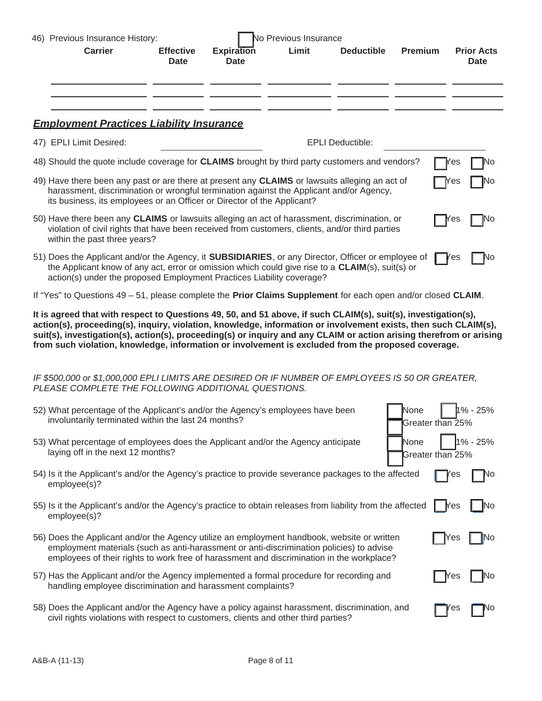| 46) Previous Insurance History:                                                                                                                                                                                                                                                                                                                                                                                                                                |                                 | <b>Vo Previous Insurance</b>     |       |                         |                          |            |                                  |  |
|----------------------------------------------------------------------------------------------------------------------------------------------------------------------------------------------------------------------------------------------------------------------------------------------------------------------------------------------------------------------------------------------------------------------------------------------------------------|---------------------------------|----------------------------------|-------|-------------------------|--------------------------|------------|----------------------------------|--|
| <b>Carrier</b>                                                                                                                                                                                                                                                                                                                                                                                                                                                 | <b>Effective</b><br><b>Date</b> | <b>Expiration</b><br><b>Date</b> | Limit | <b>Deductible</b>       | <b>Premium</b>           |            | <b>Prior Acts</b><br><b>Date</b> |  |
|                                                                                                                                                                                                                                                                                                                                                                                                                                                                |                                 |                                  |       |                         |                          |            |                                  |  |
|                                                                                                                                                                                                                                                                                                                                                                                                                                                                |                                 |                                  |       |                         |                          |            |                                  |  |
| <b>Employment Practices Liability Insurance</b>                                                                                                                                                                                                                                                                                                                                                                                                                |                                 |                                  |       |                         |                          |            |                                  |  |
| 47) EPLI Limit Desired:                                                                                                                                                                                                                                                                                                                                                                                                                                        |                                 |                                  |       | <b>EPLI Deductible:</b> |                          |            |                                  |  |
| 48) Should the quote include coverage for CLAIMS brought by third party customers and vendors?                                                                                                                                                                                                                                                                                                                                                                 |                                 |                                  |       |                         |                          | es         | No                               |  |
| 49) Have there been any past or are there at present any CLAIMS or lawsuits alleging an act of<br>harassment, discrimination or wrongful termination against the Applicant and/or Agency,<br>its business, its employees or an Officer or Director of the Applicant?                                                                                                                                                                                           |                                 |                                  |       |                         |                          | es         | No                               |  |
| 50) Have there been any CLAIMS or lawsuits alleging an act of harassment, discrimination, or<br>violation of civil rights that have been received from customers, clients, and/or third parties<br>within the past three years?                                                                                                                                                                                                                                |                                 |                                  |       |                         |                          | Y es       | No                               |  |
| 51) Does the Applicant and/or the Agency, it SUBSIDIARIES, or any Director, Officer or employee of<br>the Applicant know of any act, error or omission which could give rise to a CLAIM(s), suit(s) or<br>action(s) under the proposed Employment Practices Liability coverage?                                                                                                                                                                                |                                 |                                  |       |                         |                          | <b>Yes</b> | No                               |  |
| If "Yes" to Questions 49 - 51, please complete the Prior Claims Supplement for each open and/or closed CLAIM.                                                                                                                                                                                                                                                                                                                                                  |                                 |                                  |       |                         |                          |            |                                  |  |
| It is agreed that with respect to Questions 49, 50, and 51 above, if such CLAIM(s), suit(s), investigation(s),<br>action(s), proceeding(s), inquiry, violation, knowledge, information or involvement exists, then such CLAIM(s),<br>suit(s), investigation(s), action(s), proceeding(s) or inquiry and any CLAIM or action arising therefrom or arising<br>from such violation, knowledge, information or involvement is excluded from the proposed coverage. |                                 |                                  |       |                         |                          |            |                                  |  |
| IF \$500,000 or \$1,000,000 EPLI LIMITS ARE DESIRED OR IF NUMBER OF EMPLOYEES IS 50 OR GREATER,<br>PLEASE COMPLETE THE FOLLOWING ADDITIONAL QUESTIONS.                                                                                                                                                                                                                                                                                                         |                                 |                                  |       |                         |                          |            |                                  |  |
| 52) What percentage of the Applicant's and/or the Agency's employees have been<br>involuntarily terminated within the last 24 months?                                                                                                                                                                                                                                                                                                                          |                                 |                                  |       |                         | None<br>Greater than 25% |            | $1\% - 25\%$                     |  |
| 53) What percentage of employees does the Applicant and/or the Agency anticipate<br>laying off in the next 12 months?                                                                                                                                                                                                                                                                                                                                          |                                 |                                  |       |                         | None<br>Greater than 25% |            | % - 25%                          |  |
| 54) Is it the Applicant's and/or the Agency's practice to provide severance packages to the affected<br>employee(s)?                                                                                                                                                                                                                                                                                                                                           |                                 |                                  |       |                         |                          | es         | ٧о                               |  |
| 55) Is it the Applicant's and/or the Agency's practice to obtain releases from liability from the affected<br>employee(s)?                                                                                                                                                                                                                                                                                                                                     |                                 |                                  |       |                         |                          | Mes        | No                               |  |
| 56) Does the Applicant and/or the Agency utilize an employment handbook, website or written<br>employment materials (such as anti-harassment or anti-discrimination policies) to advise<br>employees of their rights to work free of harassment and discrimination in the workplace?                                                                                                                                                                           |                                 |                                  |       |                         |                          | <b>Yes</b> | Νo                               |  |
| 57) Has the Applicant and/or the Agency implemented a formal procedure for recording and<br>handling employee discrimination and harassment complaints?                                                                                                                                                                                                                                                                                                        |                                 |                                  |       |                         |                          | <b>Nes</b> | No                               |  |
| 58) Does the Applicant and/or the Agency have a policy against harassment, discrimination, and<br>civil rights violations with respect to customers, clients and other third parties?                                                                                                                                                                                                                                                                          |                                 |                                  |       |                         |                          | es         | ٧О                               |  |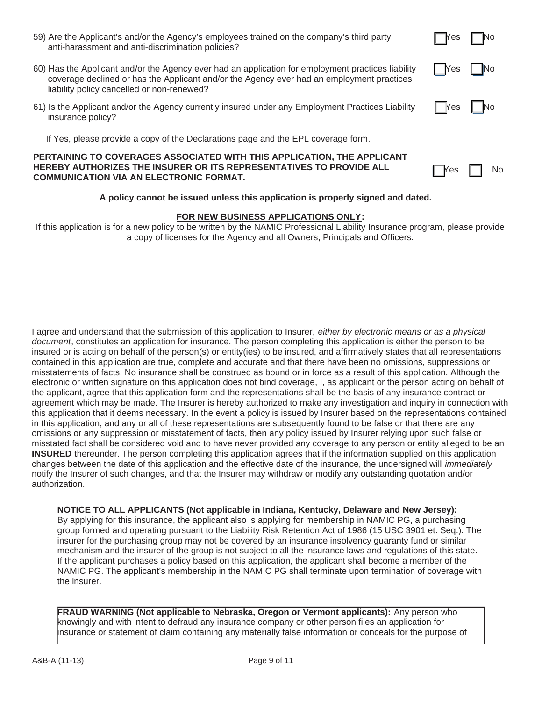| 59) Are the Applicant's and/or the Agency's employees trained on the company's third party | $\Box$ Yes $\Box$ No |  |
|--------------------------------------------------------------------------------------------|----------------------|--|
| anti-harassment and anti-discrimination policies?                                          |                      |  |

- 60) Has the Applicant and/or the Agency ever had an application for employment practices liability  $\Box$  Yes  $\Box$  No coverage declined or has the Applicant and/or the Agency ever had an employment practices liability policy cancelled or non-renewed?
- 61) Is the Applicant and/or the Agency currently insured under any Employment Practices Liability  $\Box$   $\Box$   $\Box$  No insurance policy?
	- If Yes, please provide a copy of the Declarations page and the EPL coverage form.

### **PERTAINING TO COVERAGES ASSOCIATED WITH THIS APPLICATION, THE APPLICANT HEREBY AUTHORIZES THE INSURER OR ITS REPRESENTATIVES TO PROVIDE ALL COMMUNICATION VIA AN ELECTRONIC FORMAT.**

### **A policy cannot be issued unless this application is properly signed and dated.**

#### **FOR NEW BUSINESS APPLICATIONS ONLY:**

If this application is for a new policy to be written by the NAMIC Professional Liability Insurance program, please provide a copy of licenses for the Agency and all Owners, Principals and Officers.

I agree and understand that the submission of this application to Insurer, *either by electronic means or as a physical document*, constitutes an application for insurance. The person completing this application is either the person to be insured or is acting on behalf of the person(s) or entity(ies) to be insured, and affirmatively states that all representations contained in this application are true, complete and accurate and that there have been no omissions, suppressions or misstatements of facts. No insurance shall be construed as bound or in force as a result of this application. Although the electronic or written signature on this application does not bind coverage, I, as applicant or the person acting on behalf of the applicant, agree that this application form and the representations shall be the basis of any insurance contract or agreement which may be made. The Insurer is hereby authorized to make any investigation and inquiry in connection with this application that it deems necessary. In the event a policy is issued by Insurer based on the representations contained in this application, and any or all of these representations are subsequently found to be false or that there are any omissions or any suppression or misstatement of facts, then any policy issued by Insurer relying upon such false or misstated fact shall be considered void and to have never provided any coverage to any person or entity alleged to be an **INSURED** thereunder. The person completing this application agrees that if the information supplied on this application changes between the date of this application and the effective date of the insurance, the undersigned will *immediately* notify the Insurer of such changes, and that the Insurer may withdraw or modify any outstanding quotation and/or authorization.

**NOTICE TO ALL APPLICANTS (Not applicable in Indiana, Kentucky, Delaware and New Jersey):** By applying for this insurance, the applicant also is applying for membership in NAMIC PG, a purchasing group formed and operating pursuant to the Liability Risk Retention Act of 1986 (15 USC 3901 et. Seq.). The insurer for the purchasing group may not be covered by an insurance insolvency guaranty fund or similar mechanism and the insurer of the group is not subject to all the insurance laws and regulations of this state. If the applicant purchases a policy based on this application, the applicant shall become a member of the NAMIC PG. The applicant's membership in the NAMIC PG shall terminate upon termination of coverage with the insurer.

**FRAUD WARNING (Not applicable to Nebraska, Oregon or Vermont applicants):** Any person who knowingly and with intent to defraud any insurance company or other person files an application for insurance or statement of claim containing any materially false information or conceals for the purpose of



 $\sqrt{}$ es  $\Box$  No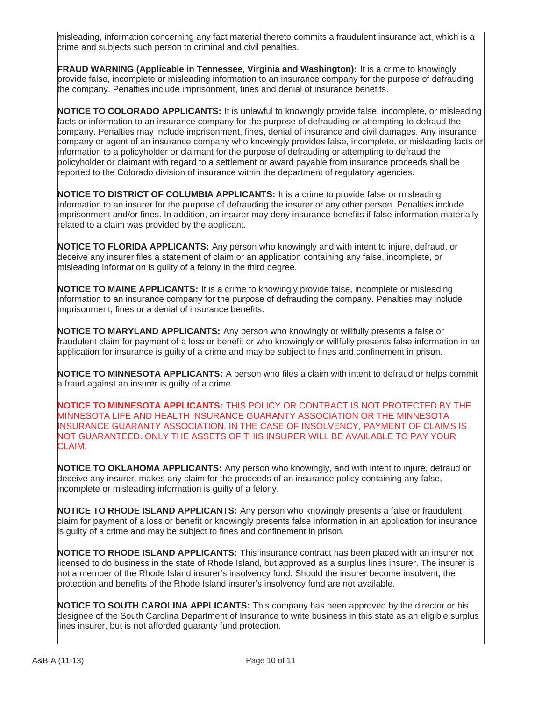misleading, information concerning any fact material thereto commits a fraudulent insurance act, which is a crime and subjects such person to criminal and civil penalties.

**FRAUD WARNING (Applicable in Tennessee, Virginia and Washington):** It is a crime to knowingly provide false, incomplete or misleading information to an insurance company for the purpose of defrauding the company. Penalties include imprisonment, fines and denial of insurance benefits.

**NOTICE TO COLORADO APPLICANTS:** It is unlawful to knowingly provide false, incomplete, or misleading facts or information to an insurance company for the purpose of defrauding or attempting to defraud the company. Penalties may include imprisonment, fines, denial of insurance and civil damages. Any insurance company or agent of an insurance company who knowingly provides false, incomplete, or misleading facts or information to a policyholder or claimant for the purpose of defrauding or attempting to defraud the policyholder or claimant with regard to a settlement or award payable from insurance proceeds shall be reported to the Colorado division of insurance within the department of regulatory agencies.

**NOTICE TO DISTRICT OF COLUMBIA APPLICANTS:** It is a crime to provide false or misleading information to an insurer for the purpose of defrauding the insurer or any other person. Penalties include imprisonment and/or fines. In addition, an insurer may deny insurance benefits if false information materially related to a claim was provided by the applicant.

**NOTICE TO FLORIDA APPLICANTS:** Any person who knowingly and with intent to injure, defraud, or deceive any insurer files a statement of claim or an application containing any false, incomplete, or misleading information is guilty of a felony in the third degree.

**NOTICE TO MAINE APPLICANTS:** It is a crime to knowingly provide false, incomplete or misleading information to an insurance company for the purpose of defrauding the company. Penalties may include imprisonment, fines or a denial of insurance benefits.

**NOTICE TO MARYLAND APPLICANTS:** Any person who knowingly or willfully presents a false or fraudulent claim for payment of a loss or benefit or who knowingly or willfully presents false information in an application for insurance is guilty of a crime and may be subject to fines and confinement in prison.

**NOTICE TO MINNESOTA APPLICANTS:** A person who files a claim with intent to defraud or helps commit a fraud against an insurer is guilty of a crime.

**NOTICE TO MINNESOTA APPLICANTS:** THIS POLICY OR CONTRACT IS NOT PROTECTED BY THE MINNESOTA LIFE AND HEALTH INSURANCE GUARANTY ASSOCIATION OR THE MINNESOTA INSURANCE GUARANTY ASSOCIATION. IN THE CASE OF INSOLVENCY, PAYMENT OF CLAIMS IS NOT GUARANTEED. ONLY THE ASSETS OF THIS INSURER WILL BE AVAILABLE TO PAY YOUR CLAIM.

**NOTICE TO OKLAHOMA APPLICANTS:** Any person who knowingly, and with intent to injure, defraud or deceive any insurer, makes any claim for the proceeds of an insurance policy containing any false, incomplete or misleading information is guilty of a felony.

**NOTICE TO RHODE ISLAND APPLICANTS:** Any person who knowingly presents a false or fraudulent claim for payment of a loss or benefit or knowingly presents false information in an application for insurance is guilty of a crime and may be subject to fines and confinement in prison.

**NOTICE TO RHODE ISLAND APPLICANTS:** This insurance contract has been placed with an insurer not licensed to do business in the state of Rhode Island, but approved as a surplus lines insurer. The insurer is not a member of the Rhode Island insurer's insolvency fund. Should the insurer become insolvent, the protection and benefits of the Rhode Island insurer's insolvency fund are not available.

**NOTICE TO SOUTH CAROLINA APPLICANTS:** This company has been approved by the director or his designee of the South Carolina Department of Insurance to write business in this state as an eligible surplus lines insurer, but is not afforded guaranty fund protection.